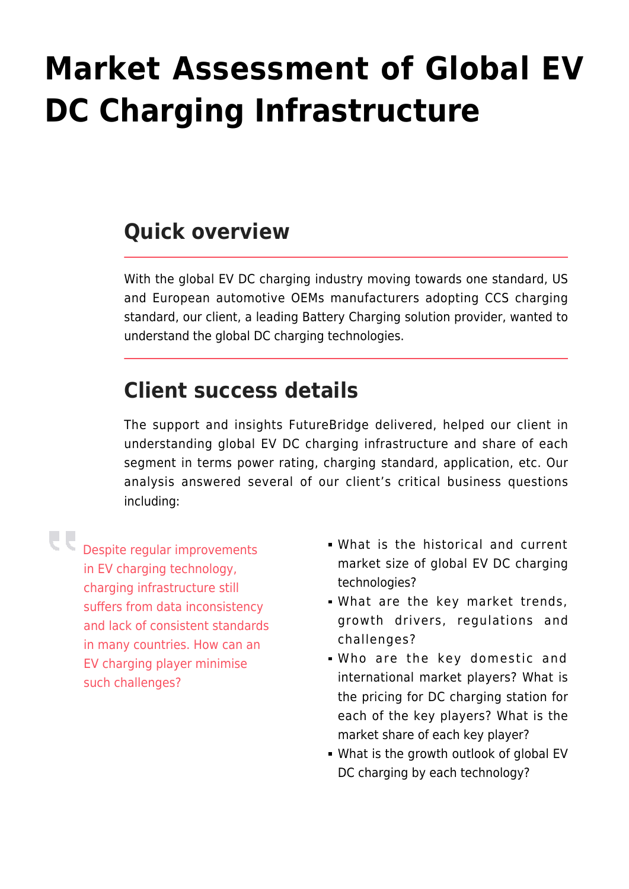## **[Market Assessment of Global EV](https://www.futurebridge.com/market-assessment-of-global-ev-dc-charging-infrastructure/) [DC Charging Infrastructure](https://www.futurebridge.com/market-assessment-of-global-ev-dc-charging-infrastructure/)**

## **Quick overview**

With the global EV DC charging industry moving towards one standard, US and European automotive OEMs manufacturers adopting CCS charging standard, our client, a leading Battery Charging solution provider, wanted to understand the global DC charging technologies.

## **Client success details**

The support and insights FutureBridge delivered, helped our client in understanding global EV DC charging infrastructure and share of each segment in terms power rating, charging standard, application, etc. Our analysis answered several of our client's critical business questions including:

Despite regular improvements in EV charging technology, charging infrastructure still suffers from data inconsistency and lack of consistent standards in many countries. How can an EV charging player minimise such challenges?

- What is the historical and current market size of global EV DC charging technologies?
- What are the key market trends, growth drivers, regulations and challenges?
- Who are the key domestic and international market players? What is the pricing for DC charging station for each of the key players? What is the market share of each key player?
- What is the growth outlook of global EV DC charging by each technology?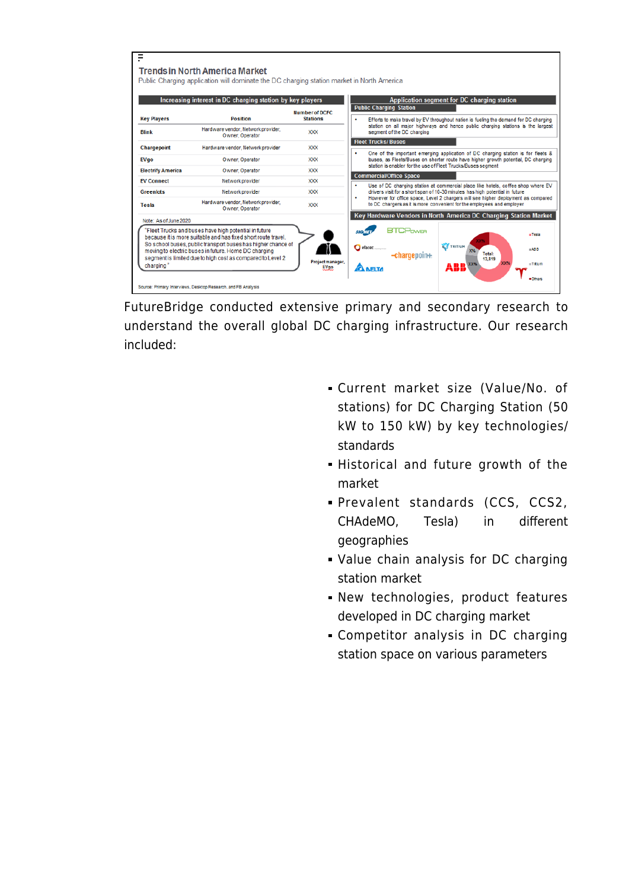| Ξ                                                                                                                                                                                                                                                                                                                                                                                                                                                                                                                                                                                                               |                                                                              |                                          |                                                                                                                                                                       |  |  |
|-----------------------------------------------------------------------------------------------------------------------------------------------------------------------------------------------------------------------------------------------------------------------------------------------------------------------------------------------------------------------------------------------------------------------------------------------------------------------------------------------------------------------------------------------------------------------------------------------------------------|------------------------------------------------------------------------------|------------------------------------------|-----------------------------------------------------------------------------------------------------------------------------------------------------------------------|--|--|
| Trends in North America Market<br>Public Charging application will dominate the DC charging station market in North America                                                                                                                                                                                                                                                                                                                                                                                                                                                                                     |                                                                              |                                          |                                                                                                                                                                       |  |  |
| <b>Key Players</b>                                                                                                                                                                                                                                                                                                                                                                                                                                                                                                                                                                                              | Increasing interest in DC charging station by key players<br><b>Position</b> | <b>Number of DCFC</b><br><b>Stations</b> | Application segment for DC charging station<br><b>Public Charging Station</b><br>Efforts to make travel by EV throughout nation is fueling the demand for DC charging |  |  |
| <b>Blink</b>                                                                                                                                                                                                                                                                                                                                                                                                                                                                                                                                                                                                    | Hardware vendor, Network provider,<br>Owner, Operator                        | <b>XXX</b>                               | station on all major highways and hence public charging stations is the largest<br>segment of the DC charging                                                         |  |  |
| Chargepoint                                                                                                                                                                                                                                                                                                                                                                                                                                                                                                                                                                                                     | Hardware vendor, Network provider                                            | <b>XXX</b>                               | <b>Fleet Trucks/Buses</b>                                                                                                                                             |  |  |
| <b>EVgo</b>                                                                                                                                                                                                                                                                                                                                                                                                                                                                                                                                                                                                     | Owner, Operator                                                              | <b>XXX</b>                               | One of the important emerging application of DC charging station is for fleets &<br>buses, as Fleets/Buses on shorter route have higher growth potential, DC charging |  |  |
| <b>Electrify America</b>                                                                                                                                                                                                                                                                                                                                                                                                                                                                                                                                                                                        | Owner, Operator                                                              | <b>XXX</b>                               | station is enabler for the use of Fleet Trucks/Buses segment                                                                                                          |  |  |
| <b>EV Connect</b>                                                                                                                                                                                                                                                                                                                                                                                                                                                                                                                                                                                               | Network provider                                                             | <b>XXX</b>                               | <b>Commercial/Office Space</b><br>Use of DC charging station at commercial place like hotels, coffee shop where EV                                                    |  |  |
| <b>Greenlots</b>                                                                                                                                                                                                                                                                                                                                                                                                                                                                                                                                                                                                | Network provider                                                             | <b>XXX</b>                               | drivers visit for a short span of 10-30 minutes has high potential in future                                                                                          |  |  |
| Tesla                                                                                                                                                                                                                                                                                                                                                                                                                                                                                                                                                                                                           | Hardware vendor, Network provider,<br>Owner, Operator                        | <b>XXX</b>                               | However for office space, Level 2 chargers will see higher deployment as compared<br>to DC chargers as it is more convenient for the employees and employer           |  |  |
| Note: As of June 2020                                                                                                                                                                                                                                                                                                                                                                                                                                                                                                                                                                                           |                                                                              |                                          | Key Hardware Vendors in North America DC Charging Station Market                                                                                                      |  |  |
| <b>RTCPower</b><br>"Fleet Trucks and buses have high potential in future<br>$-$ Tesla<br>because it is more suitable and has fixed short route travel.<br>So school buses, public transport buses has higher chance of<br><b>TRITIUM</b><br>$\bigcirc$ efacec<br>$-ABR$<br>moving to electric buses in future. Home DC charging<br><b>Total:</b><br>-chargepoin+<br>segment is limited due to high cost as compared to Level 2<br>13,819<br>Project manager.<br><b>XX%</b><br>$-$ Trtum<br>charging"<br><b>ANELTA</b><br>EVao<br><b>Others</b><br>Source: Primary Interviews, Desktop Research, and FB Analysis |                                                                              |                                          |                                                                                                                                                                       |  |  |

FutureBridge conducted extensive primary and secondary research to understand the overall global DC charging infrastructure. Our research included:

- Current market size (Value/No. of stations) for DC Charging Station (50 kW to 150 kW) by key technologies/ standards
- Historical and future growth of the market
- Prevalent standards (CCS, CCS2, CHAdeMO, Tesla) in different geographies
- Value chain analysis for DC charging station market
- New technologies, product features developed in DC charging market
- Competitor analysis in DC charging station space on various parameters